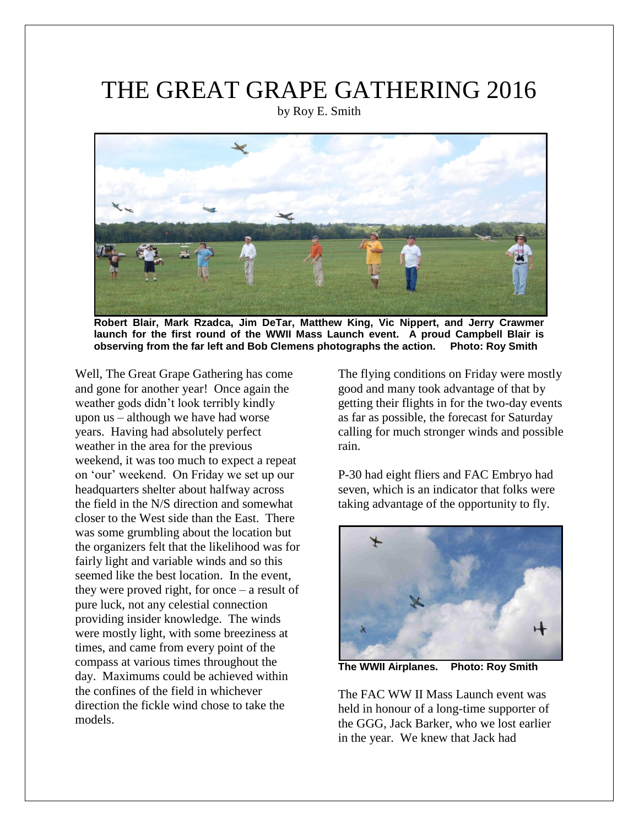## THE GREAT GRAPE GATHERING 2016

by Roy E. Smith



**Robert Blair, Mark Rzadca, Jim DeTar, Matthew King, Vic Nippert, and Jerry Crawmer launch for the first round of the WWII Mass Launch event. A proud Campbell Blair is observing from the far left and Bob Clemens photographs the action. Photo: Roy Smith**

Well, The Great Grape Gathering has come and gone for another year! Once again the weather gods didn't look terribly kindly upon us – although we have had worse years. Having had absolutely perfect weather in the area for the previous weekend, it was too much to expect a repeat on 'our' weekend. On Friday we set up our headquarters shelter about halfway across the field in the N/S direction and somewhat closer to the West side than the East. There was some grumbling about the location but the organizers felt that the likelihood was for fairly light and variable winds and so this seemed like the best location. In the event, they were proved right, for once – a result of pure luck, not any celestial connection providing insider knowledge. The winds were mostly light, with some breeziness at times, and came from every point of the compass at various times throughout the day. Maximums could be achieved within the confines of the field in whichever direction the fickle wind chose to take the models.

The flying conditions on Friday were mostly good and many took advantage of that by getting their flights in for the two-day events as far as possible, the forecast for Saturday calling for much stronger winds and possible rain.

P-30 had eight fliers and FAC Embryo had seven, which is an indicator that folks were taking advantage of the opportunity to fly.



**The WWII Airplanes. Photo: Roy Smith**

The FAC WW II Mass Launch event was held in honour of a long-time supporter of the GGG, Jack Barker, who we lost earlier in the year. We knew that Jack had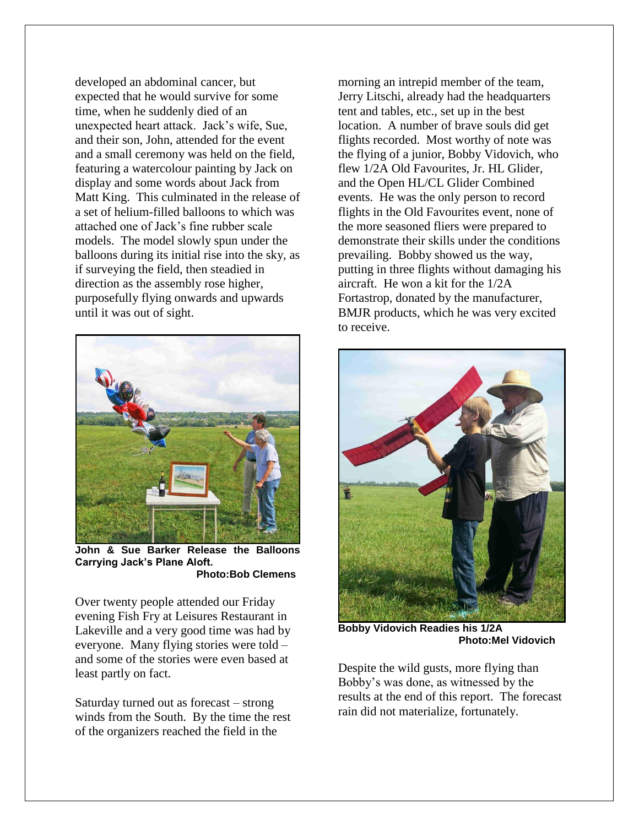developed an abdominal cancer, but expected that he would survive for some time, when he suddenly died of an unexpected heart attack. Jack's wife, Sue, and their son, John, attended for the event and a small ceremony was held on the field, featuring a watercolour painting by Jack on display and some words about Jack from Matt King. This culminated in the release of a set of helium-filled balloons to which was attached one of Jack's fine rubber scale models. The model slowly spun under the balloons during its initial rise into the sky, as if surveying the field, then steadied in direction as the assembly rose higher, purposefully flying onwards and upwards until it was out of sight.



**John & Sue Barker Release the Balloons Carrying Jack's Plane Aloft. Photo:Bob Clemens**

Over twenty people attended our Friday evening Fish Fry at Leisures Restaurant in Lakeville and a very good time was had by everyone. Many flying stories were told – and some of the stories were even based at least partly on fact.

Saturday turned out as forecast – strong winds from the South. By the time the rest of the organizers reached the field in the

morning an intrepid member of the team, Jerry Litschi, already had the headquarters tent and tables, etc., set up in the best location. A number of brave souls did get flights recorded. Most worthy of note was the flying of a junior, Bobby Vidovich, who flew 1/2A Old Favourites, Jr. HL Glider, and the Open HL/CL Glider Combined events. He was the only person to record flights in the Old Favourites event, none of the more seasoned fliers were prepared to demonstrate their skills under the conditions prevailing. Bobby showed us the way, putting in three flights without damaging his aircraft. He won a kit for the 1/2A Fortastrop, donated by the manufacturer, BMJR products, which he was very excited to receive.



**Bobby Vidovich Readies his 1/2A Photo:Mel Vidovich**

Despite the wild gusts, more flying than Bobby's was done, as witnessed by the results at the end of this report. The forecast rain did not materialize, fortunately.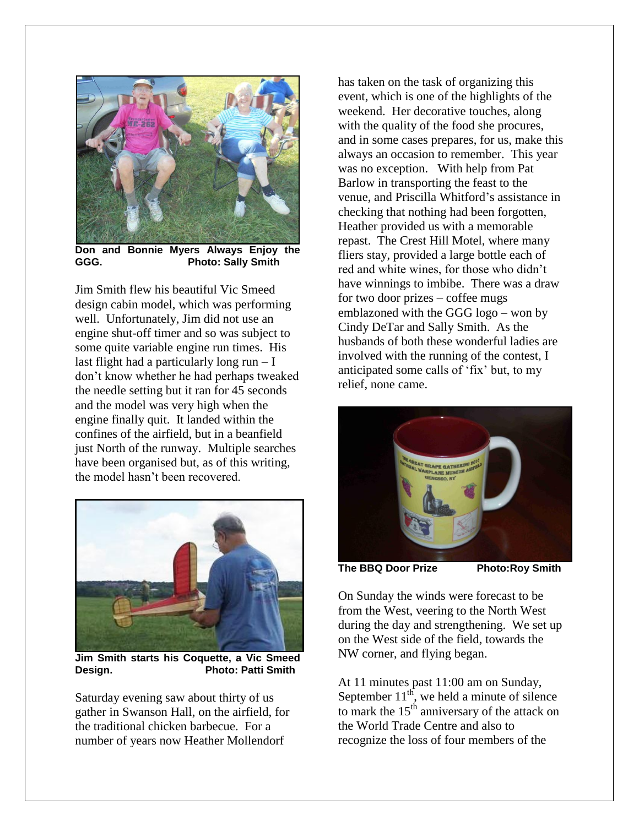

**Don and Bonnie Myers Always Enjoy the GGG. Photo: Sally Smith**

Jim Smith flew his beautiful Vic Smeed design cabin model, which was performing well. Unfortunately, Jim did not use an engine shut-off timer and so was subject to some quite variable engine run times. His last flight had a particularly long  $run - I$ don't know whether he had perhaps tweaked the needle setting but it ran for 45 seconds and the model was very high when the engine finally quit. It landed within the confines of the airfield, but in a beanfield just North of the runway. Multiple searches have been organised but, as of this writing, the model hasn't been recovered.



**Jim Smith starts his Coquette, a Vic Smeed Design. Photo: Patti Smith**

Saturday evening saw about thirty of us gather in Swanson Hall, on the airfield, for the traditional chicken barbecue. For a number of years now Heather Mollendorf

has taken on the task of organizing this event, which is one of the highlights of the weekend. Her decorative touches, along with the quality of the food she procures, and in some cases prepares, for us, make this always an occasion to remember. This year was no exception. With help from Pat Barlow in transporting the feast to the venue, and Priscilla Whitford's assistance in checking that nothing had been forgotten, Heather provided us with a memorable repast. The Crest Hill Motel, where many fliers stay, provided a large bottle each of red and white wines, for those who didn't have winnings to imbibe. There was a draw for two door prizes – coffee mugs emblazoned with the GGG logo – won by Cindy DeTar and Sally Smith. As the husbands of both these wonderful ladies are involved with the running of the contest, I anticipated some calls of 'fix' but, to my relief, none came.



**The BBQ Door Prize Photo:Roy Smith**

On Sunday the winds were forecast to be from the West, veering to the North West during the day and strengthening. We set up on the West side of the field, towards the NW corner, and flying began.

At 11 minutes past 11:00 am on Sunday, September  $11^{th}$ , we held a minute of silence to mark the  $15<sup>th</sup>$  anniversary of the attack on the World Trade Centre and also to recognize the loss of four members of the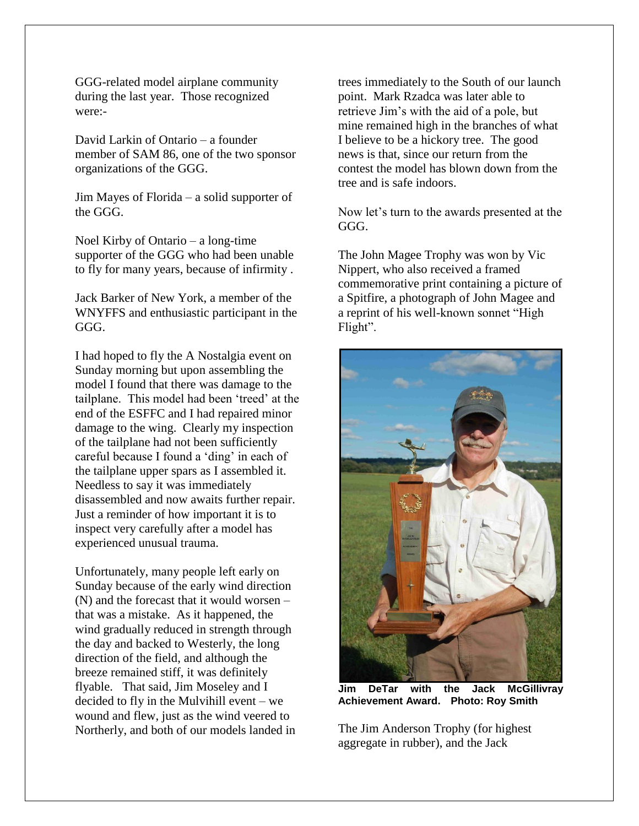GGG-related model airplane community during the last year. Those recognized were:-

David Larkin of Ontario – a founder member of SAM 86, one of the two sponsor organizations of the GGG.

Jim Mayes of Florida – a solid supporter of the GGG.

Noel Kirby of Ontario – a long-time supporter of the GGG who had been unable to fly for many years, because of infirmity .

Jack Barker of New York, a member of the WNYFFS and enthusiastic participant in the GGG.

I had hoped to fly the A Nostalgia event on Sunday morning but upon assembling the model I found that there was damage to the tailplane. This model had been 'treed' at the end of the ESFFC and I had repaired minor damage to the wing. Clearly my inspection of the tailplane had not been sufficiently careful because I found a 'ding' in each of the tailplane upper spars as I assembled it. Needless to say it was immediately disassembled and now awaits further repair. Just a reminder of how important it is to inspect very carefully after a model has experienced unusual trauma.

Unfortunately, many people left early on Sunday because of the early wind direction (N) and the forecast that it would worsen – that was a mistake. As it happened, the wind gradually reduced in strength through the day and backed to Westerly, the long direction of the field, and although the breeze remained stiff, it was definitely flyable. That said, Jim Moseley and I decided to fly in the Mulvihill event – we wound and flew, just as the wind veered to Northerly, and both of our models landed in trees immediately to the South of our launch point. Mark Rzadca was later able to retrieve Jim's with the aid of a pole, but mine remained high in the branches of what I believe to be a hickory tree. The good news is that, since our return from the contest the model has blown down from the tree and is safe indoors.

Now let's turn to the awards presented at the GGG.

The John Magee Trophy was won by Vic Nippert, who also received a framed commemorative print containing a picture of a Spitfire, a photograph of John Magee and a reprint of his well-known sonnet "High Flight".



**Jim DeTar with the Jack McGillivray Achievement Award. Photo: Roy Smith**

The Jim Anderson Trophy (for highest aggregate in rubber), and the Jack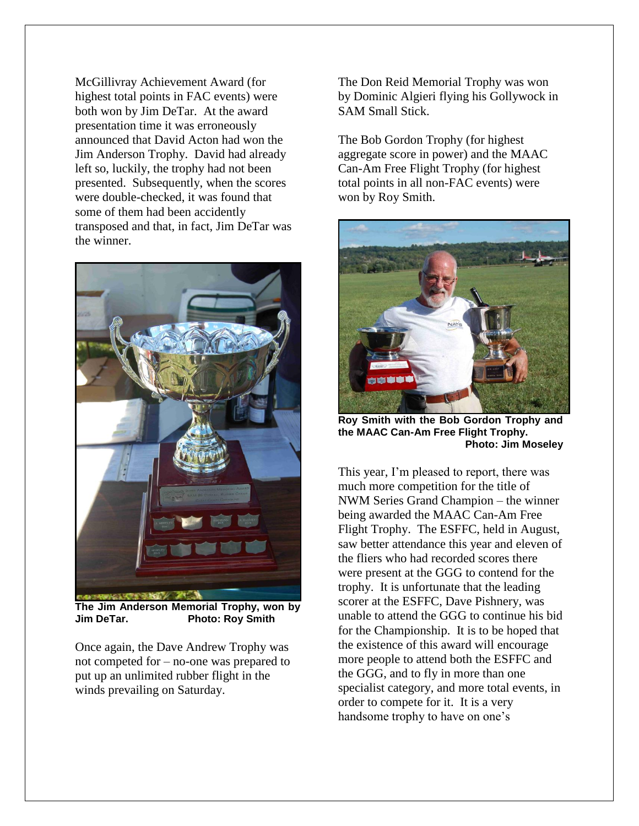McGillivray Achievement Award (for highest total points in FAC events) were both won by Jim DeTar. At the award presentation time it was erroneously announced that David Acton had won the Jim Anderson Trophy. David had already left so, luckily, the trophy had not been presented. Subsequently, when the scores were double-checked, it was found that some of them had been accidently transposed and that, in fact, Jim DeTar was the winner.



**The Jim Anderson Memorial Trophy, won by Photo: Roy Smith** 

Once again, the Dave Andrew Trophy was not competed for – no-one was prepared to put up an unlimited rubber flight in the winds prevailing on Saturday.

The Don Reid Memorial Trophy was won by Dominic Algieri flying his Gollywock in SAM Small Stick.

The Bob Gordon Trophy (for highest aggregate score in power) and the MAAC Can-Am Free Flight Trophy (for highest total points in all non-FAC events) were won by Roy Smith.



**Roy Smith with the Bob Gordon Trophy and the MAAC Can-Am Free Flight Trophy. Photo: Jim Moseley**

This year, I'm pleased to report, there was much more competition for the title of NWM Series Grand Champion – the winner being awarded the MAAC Can-Am Free Flight Trophy. The ESFFC, held in August, saw better attendance this year and eleven of the fliers who had recorded scores there were present at the GGG to contend for the trophy. It is unfortunate that the leading scorer at the ESFFC, Dave Pishnery, was unable to attend the GGG to continue his bid for the Championship. It is to be hoped that the existence of this award will encourage more people to attend both the ESFFC and the GGG, and to fly in more than one specialist category, and more total events, in order to compete for it. It is a very handsome trophy to have on one's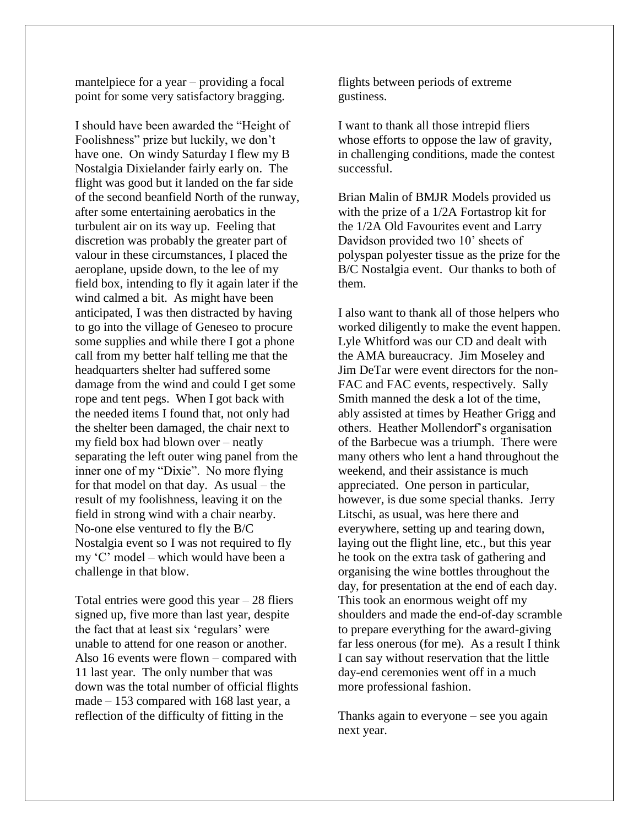mantelpiece for a year – providing a focal point for some very satisfactory bragging.

I should have been awarded the "Height of Foolishness" prize but luckily, we don't have one. On windy Saturday I flew my B Nostalgia Dixielander fairly early on. The flight was good but it landed on the far side of the second beanfield North of the runway, after some entertaining aerobatics in the turbulent air on its way up. Feeling that discretion was probably the greater part of valour in these circumstances, I placed the aeroplane, upside down, to the lee of my field box, intending to fly it again later if the wind calmed a bit. As might have been anticipated, I was then distracted by having to go into the village of Geneseo to procure some supplies and while there I got a phone call from my better half telling me that the headquarters shelter had suffered some damage from the wind and could I get some rope and tent pegs. When I got back with the needed items I found that, not only had the shelter been damaged, the chair next to my field box had blown over – neatly separating the left outer wing panel from the inner one of my "Dixie". No more flying for that model on that day. As usual – the result of my foolishness, leaving it on the field in strong wind with a chair nearby. No-one else ventured to fly the B/C Nostalgia event so I was not required to fly my 'C' model – which would have been a challenge in that blow.

Total entries were good this year  $-28$  fliers signed up, five more than last year, despite the fact that at least six 'regulars' were unable to attend for one reason or another. Also 16 events were flown – compared with 11 last year. The only number that was down was the total number of official flights made – 153 compared with 168 last year, a reflection of the difficulty of fitting in the

flights between periods of extreme gustiness.

I want to thank all those intrepid fliers whose efforts to oppose the law of gravity, in challenging conditions, made the contest successful.

Brian Malin of BMJR Models provided us with the prize of a 1/2A Fortastrop kit for the 1/2A Old Favourites event and Larry Davidson provided two 10' sheets of polyspan polyester tissue as the prize for the B/C Nostalgia event. Our thanks to both of them.

I also want to thank all of those helpers who worked diligently to make the event happen. Lyle Whitford was our CD and dealt with the AMA bureaucracy. Jim Moseley and Jim DeTar were event directors for the non-FAC and FAC events, respectively. Sally Smith manned the desk a lot of the time, ably assisted at times by Heather Grigg and others. Heather Mollendorf's organisation of the Barbecue was a triumph. There were many others who lent a hand throughout the weekend, and their assistance is much appreciated. One person in particular, however, is due some special thanks. Jerry Litschi, as usual, was here there and everywhere, setting up and tearing down, laying out the flight line, etc., but this year he took on the extra task of gathering and organising the wine bottles throughout the day, for presentation at the end of each day. This took an enormous weight off my shoulders and made the end-of-day scramble to prepare everything for the award-giving far less onerous (for me). As a result I think I can say without reservation that the little day-end ceremonies went off in a much more professional fashion.

Thanks again to everyone – see you again next year.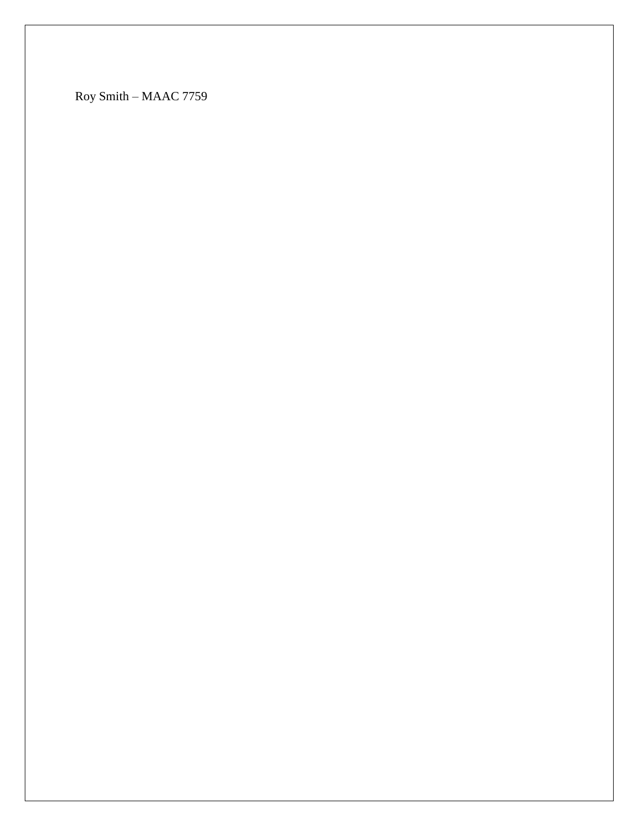Roy Smith – MAAC 7759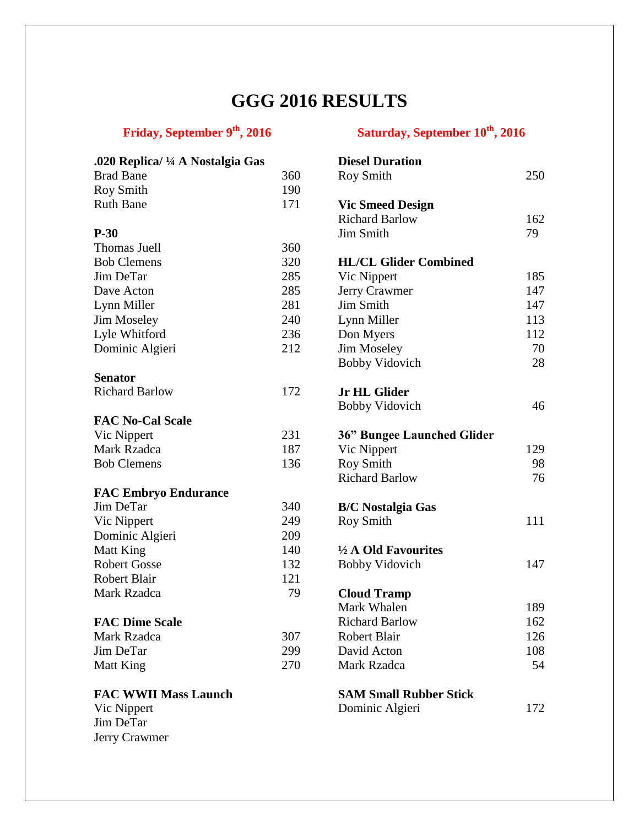## **GGG 2016 RESULTS**

## **Friday, September 9th, 2016 Saturday, September 10th, 2016**

| .020 Replica/ ¼ A Nostalgia Gas |     | <b>Diesel Duration</b>            |     |
|---------------------------------|-----|-----------------------------------|-----|
| <b>Brad Bane</b>                | 360 | <b>Roy Smith</b>                  | 250 |
| <b>Roy Smith</b>                | 190 |                                   |     |
| <b>Ruth Bane</b>                | 171 | <b>Vic Smeed Design</b>           |     |
|                                 |     | <b>Richard Barlow</b>             | 162 |
| $P-30$                          |     | Jim Smith                         | 79  |
| Thomas Juell                    | 360 |                                   |     |
| <b>Bob Clemens</b>              | 320 | <b>HL/CL Glider Combined</b>      |     |
| Jim DeTar                       | 285 | Vic Nippert                       | 185 |
| Dave Acton                      | 285 | Jerry Crawmer                     | 147 |
| Lynn Miller                     | 281 | Jim Smith                         | 147 |
| <b>Jim Moseley</b>              | 240 | Lynn Miller                       | 113 |
| Lyle Whitford                   | 236 | Don Myers                         | 112 |
| Dominic Algieri                 | 212 | <b>Jim Moseley</b>                | 70  |
|                                 |     | <b>Bobby Vidovich</b>             | 28  |
| <b>Senator</b>                  |     |                                   |     |
| <b>Richard Barlow</b>           | 172 | <b>Jr HL Glider</b>               |     |
|                                 |     | <b>Bobby Vidovich</b>             | 46  |
| <b>FAC No-Cal Scale</b>         |     |                                   |     |
| Vic Nippert                     | 231 | <b>36" Bungee Launched Glider</b> |     |
| Mark Rzadca                     | 187 | Vic Nippert                       | 129 |
| <b>Bob Clemens</b>              | 136 | <b>Roy Smith</b>                  | 98  |
|                                 |     | <b>Richard Barlow</b>             | 76  |
| <b>FAC Embryo Endurance</b>     |     |                                   |     |
| Jim DeTar                       | 340 | <b>B/C Nostalgia Gas</b>          |     |
| Vic Nippert                     | 249 | <b>Roy Smith</b>                  | 111 |
| Dominic Algieri                 | 209 |                                   |     |
| Matt King                       | 140 | $\frac{1}{2}$ A Old Favourites    |     |
| <b>Robert Gosse</b>             | 132 | <b>Bobby Vidovich</b>             | 147 |
| Robert Blair                    | 121 |                                   |     |
| Mark Rzadca                     | 79  | <b>Cloud Tramp</b>                |     |
|                                 |     | Mark Whalen                       | 189 |
| <b>FAC Dime Scale</b>           |     | <b>Richard Barlow</b>             | 162 |
| <b>Mark Rzadca</b>              | 307 | <b>Robert Blair</b>               | 126 |
| Jim DeTar                       | 299 | David Acton                       | 108 |
| <b>Matt King</b>                | 270 | <b>Mark Rzadca</b>                | 54  |
| <b>FAC WWII Mass Launch</b>     |     | <b>SAM Small Rubber Stick</b>     |     |
| Vic Nippert                     |     | Dominic Algieri                   | 172 |
| Jim DeTar                       |     |                                   |     |
| Jerry Crawmer                   |     |                                   |     |